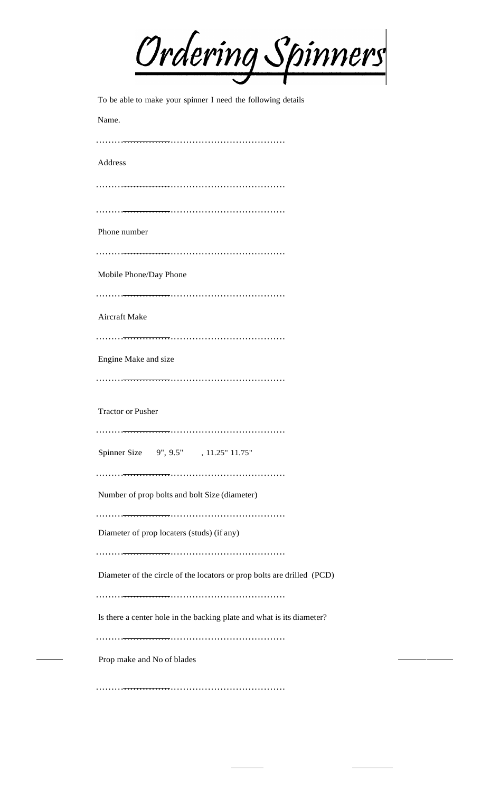| <u>Ordering Spinners</u>                                               |
|------------------------------------------------------------------------|
| To be able to make your spinner I need the following details           |
| Name.                                                                  |
|                                                                        |
| Address                                                                |
|                                                                        |
|                                                                        |
| Phone number                                                           |
| Mobile Phone/Day Phone                                                 |
|                                                                        |
| <b>Aircraft Make</b>                                                   |
|                                                                        |
| Engine Make and size                                                   |
|                                                                        |
| <b>Tractor or Pusher</b>                                               |
|                                                                        |
| Spinner Size 9", 9.5", 11.25" 11.75"                                   |
| Number of prop bolts and bolt Size (diameter)                          |
|                                                                        |
| Diameter of prop locaters (studs) (if any)                             |
|                                                                        |
| Diameter of the circle of the locators or prop bolts are drilled (PCD) |
| Is there a center hole in the backing plate and what is its diameter?  |
|                                                                        |
| Prop make and No of blades                                             |
|                                                                        |